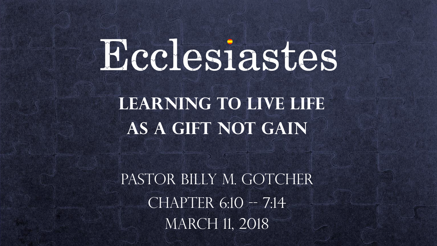# Ecclesiastes

 **Learning to Live LIFE as a Gift not gain**

PASTOR BILLY M. GOTCHER  $CHAPTER$  6:10 -- 7:14 MARCH 11, 2018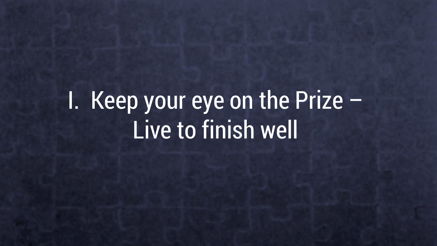## I. Keep your eye on the Prize – Live to finish well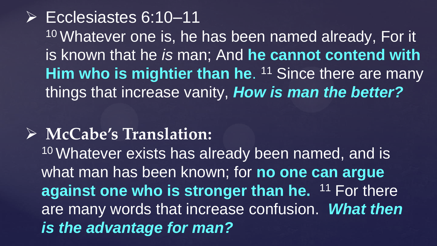Ecclesiastes 6:10–11 10 Whatever one is, he has been named already, For it is known that he *is* man; And **he cannot contend with**  Him who is mightier than he. <sup>11</sup> Since there are many things that increase vanity, *How is man the better?*

#### **McCabe's Translation:**

<sup>10</sup> Whatever exists has already been named, and is what man has been known; for **no one can argue against one who is stronger than he.** <sup>11</sup> For there are many words that increase confusion. *What then is the advantage for man?*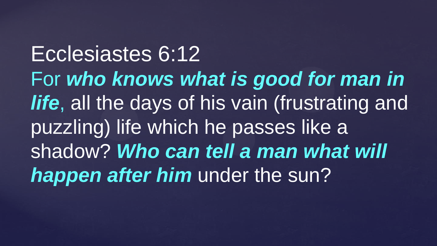Ecclesiastes 6:12 For *who knows what is good for man in life*, all the days of his vain (frustrating and puzzling) life which he passes like a shadow? *Who can tell a man what will*  **happen after him** under the sun?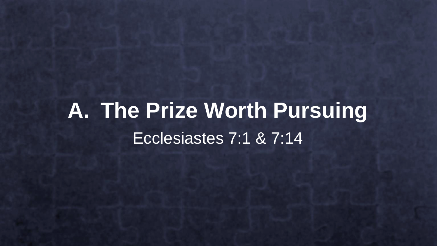## **A. The Prize Worth Pursuing** Ecclesiastes 7:1 & 7:14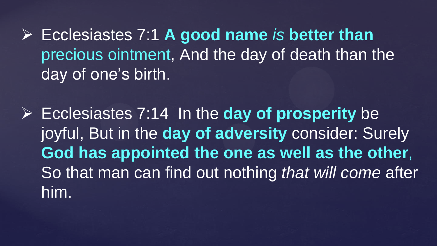Ecclesiastes 7:1 **A good name** *is* **better than** precious ointment, And the day of death than the day of one's birth.

 Ecclesiastes 7:14 In the **day of prosperity** be joyful, But in the **day of adversity** consider: Surely **God has appointed the one as well as the other**, So that man can find out nothing *that will come* after him.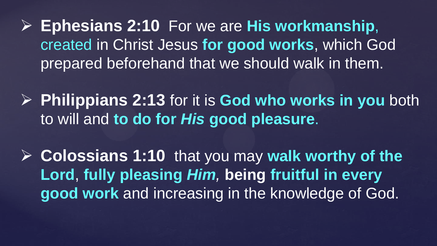**Ephesians 2:10** For we are **His workmanship**, created in Christ Jesus **for good works**, which God prepared beforehand that we should walk in them.

- **Philippians 2:13** for it is **God who works in you** both to will and **to do for** *His* **good pleasure**.
- **► Colossians 1:10 that you may walk worthy of the Lord**, **fully pleasing** *Him,* **being fruitful in every good work** and increasing in the knowledge of God.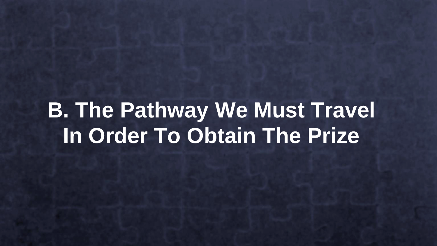### **B. The Pathway We Must Travel In Order To Obtain The Prize**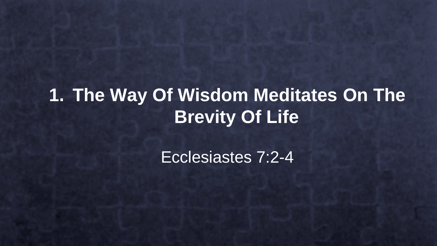#### **1. The Way Of Wisdom Meditates On The Brevity Of Life**

Ecclesiastes 7:2-4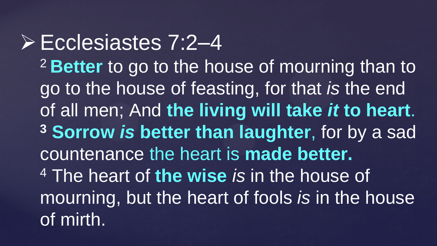#### Ecclesiastes 7:2–4 <sup>2</sup>**Better** to go to the house of mourning than to go to the house of feasting, for that *is* the end of all men; And **the living will take** *it* **to heart**. **<sup>3</sup> Sorrow** *is* **better than laughter**, for by a sad countenance the heart is **made better.** <sup>4</sup> The heart of **the wise** *is* in the house of mourning, but the heart of fools *is* in the house of mirth.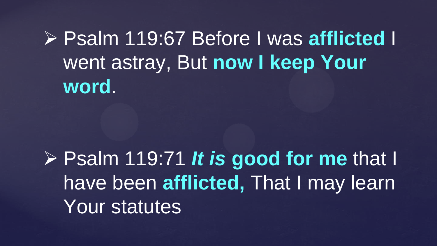Psalm 119:67 Before I was **afflicted** I went astray, But **now I keep Your word**.

 Psalm 119:71 *It is* **good for me** that I have been **afflicted,** That I may learn Your statutes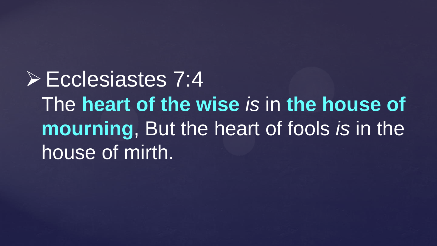Ecclesiastes 7:4 The **heart of the wise** *is* in **the house of mourning**, But the heart of fools *is* in the house of mirth.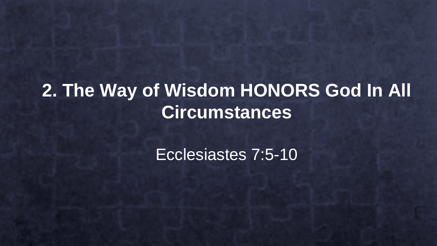#### **2. The Way of Wisdom HONORS God In All Circumstances**

Ecclesiastes 7:5-10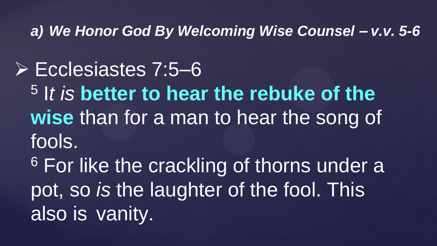*a) We Honor God By Welcoming Wise Counsel – v.v. 5-6*

 Ecclesiastes 7:5–6 5 I*t is* **better to hear the rebuke of the wise** than for a man to hear the song of fools.

<sup>6</sup> For like the crackling of thorns under a pot, so *is* the laughter of the fool. This also is vanity.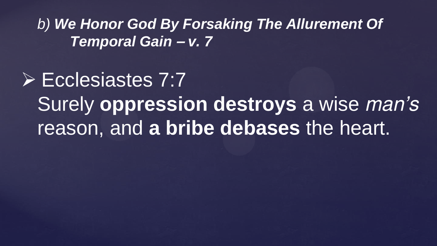*b) We Honor God By Forsaking The Allurement Of Temporal Gain – v. 7*

 Ecclesiastes 7:7 Surely **oppression destroys** a wise *man's* reason, and **a bribe debases** the heart.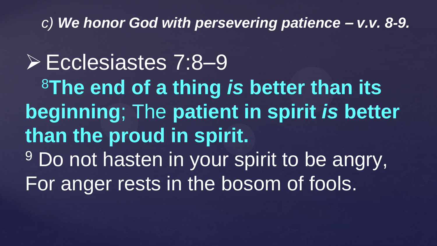#### *c) We honor God with persevering patience – v.v. 8-9.*

Ecclesiastes 7:8–9 <sup>8</sup>**The end of a thing** *is* **better than its beginning**; The **patient in spirit** *is* **better than the proud in spirit.** <sup>9</sup> Do not hasten in your spirit to be angry, For anger rests in the bosom of fools.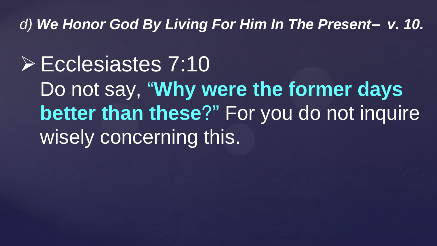*d) We Honor God By Living For Him In The Present– v. 10.*

Ecclesiastes 7:10 Do not say, "**Why were the former days better than these**?" For you do not inquire wisely concerning this.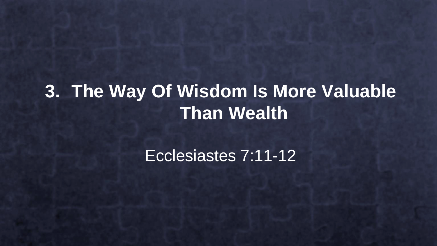#### **3. The Way Of Wisdom Is More Valuable Than Wealth**

Ecclesiastes 7:11-12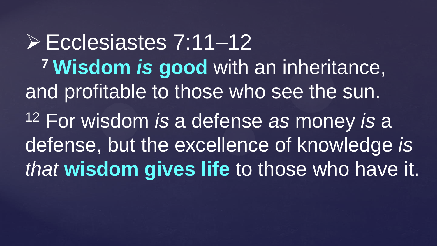Ecclesiastes 7:11–12 **<sup>7</sup> Wisdom** *is* **good** with an inheritance, and profitable to those who see the sun. <sup>12</sup> For wisdom *is* a defense *as* money *is* a defense, but the excellence of knowledge *is that* **wisdom gives life** to those who have it.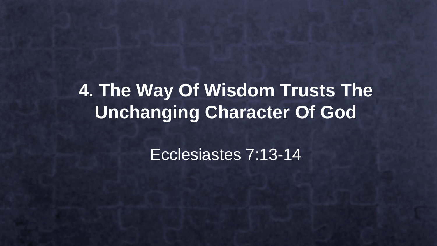#### **4. The Way Of Wisdom Trusts The Unchanging Character Of God**

Ecclesiastes 7:13-14